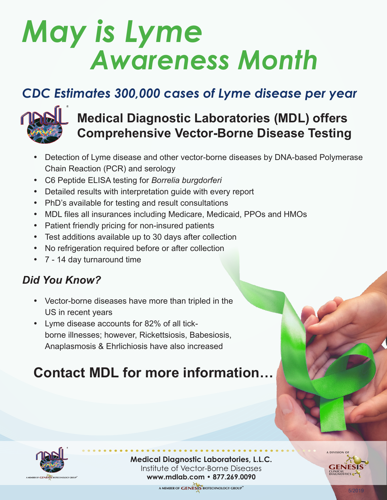# *May is Lyme Awareness Month*

## *CDC Estimates 300,000 cases of Lyme disease per year*



### **Medical Diagnostic Laboratories (MDL) offers Comprehensive Vector-Borne Disease Testing**

- Detection of Lyme disease and other vector-borne diseases by DNA-based Polymerase Chain Reaction (PCR) and serology
- • C6 Peptide ELISA testing for *Borrelia burgdorferi*
- Detailed results with interpretation guide with every report
- PhD's available for testing and result consultations
- MDL files all insurances including Medicare, Medicaid, PPOs and HMOs
- Patient friendly pricing for non-insured patients
- Test additions available up to 30 days after collection
- No refrigeration required before or after collection
- • 7 14 day turnaround time

#### *Did You Know?*

- Vector-borne diseases have more than tripled in the US in recent years
- • Lyme disease accounts for 82% of all tickborne illnesses; however, Rickettsiosis, Babesiosis, Anaplasmosis & Ehrlichiosis have also increased

# **Contact MDL for more information…**



**Medical Diagnostic Laboratories, L.L.C.** Institute of Vector-Borne Diseases **www.mdlab.com • 877.269.0090 • • • • • • • • • • • • • • • • • • • • • • • • • • • • • • • • • • • • • • • • • • • •**